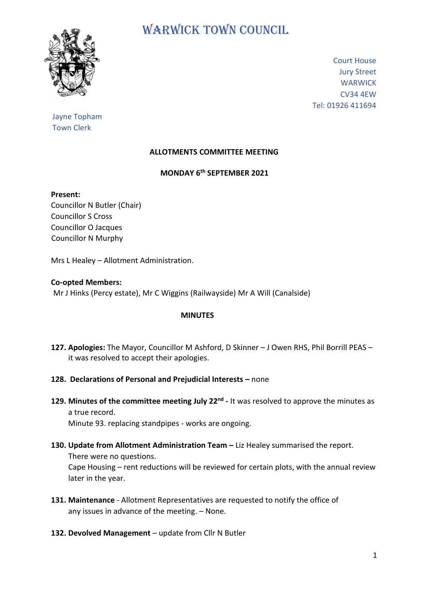

# WARWICK TOWN COUNCIL

Court House Jury Street **WARWICK** CV34 4EW Tel: 01926 411694

## Jayne Topham Town Clerk

## **ALLOTMENTS COMMITTEE MEETING**

### **MONDAY 6th SEPTEMBER 2021**

#### **Present:**

Councillor N Butler (Chair) Councillor S Cross Councillor O Jacques Councillor N Murphy

Mrs L Healey – Allotment Administration.

#### **Co-opted Members:**

Mr J Hinks (Percy estate), Mr C Wiggins (Railwayside) Mr A Will (Canalside)

#### **MINUTES**

- **127. Apologies:** The Mayor, Councillor M Ashford, D Skinner J Owen RHS, Phil Borrill PEAS it was resolved to accept their apologies.
- **128. Declarations of Personal and Prejudicial Interests –** none
- 129. Minutes of the committee meeting July 22<sup>nd</sup> It was resolved to approve the minutes as a true record.

Minute 93. replacing standpipes - works are ongoing.

- **130. Update from Allotment Administration Team –** Liz Healey summarised the report. There were no questions. Cape Housing – rent reductions will be reviewed for certain plots, with the annual review later in the year.
- **131. Maintenance** Allotment Representatives are requested to notify the office of any issues in advance of the meeting. – None.
- **132. Devolved Management** update from Cllr N Butler